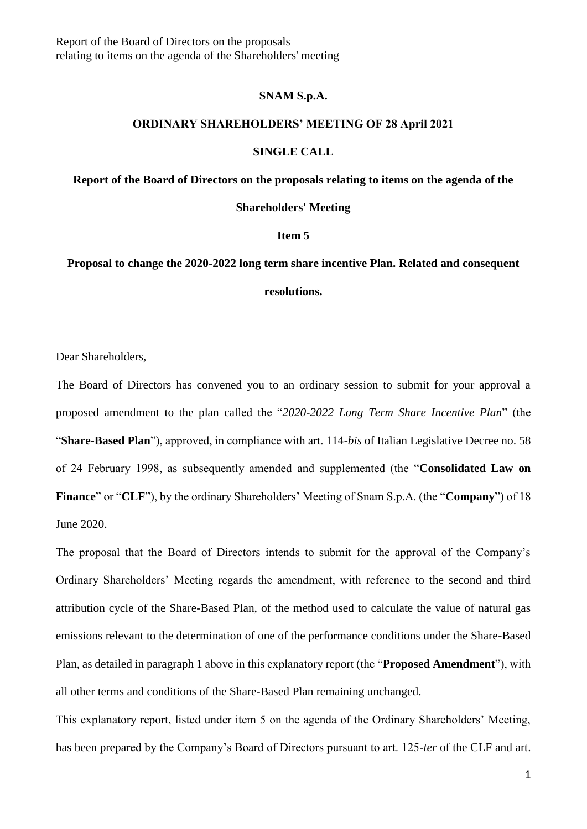Report of the Board of Directors on the proposals relating to items on the agenda of the Shareholders' meeting

### **SNAM S.p.A.**

### **ORDINARY SHAREHOLDERS' MEETING OF 28 April 2021**

### **SINGLE CALL**

### **Report of the Board of Directors on the proposals relating to items on the agenda of the**

**Shareholders' Meeting**

### **Item 5**

# **Proposal to change the 2020-2022 long term share incentive Plan. Related and consequent**

**resolutions.**

Dear Shareholders,

The Board of Directors has convened you to an ordinary session to submit for your approval a proposed amendment to the plan called the "*2020-2022 Long Term Share Incentive Plan*" (the "**Share-Based Plan**"), approved, in compliance with art. 114-*bis* of Italian Legislative Decree no. 58 of 24 February 1998, as subsequently amended and supplemented (the "**Consolidated Law on Finance**" or "**CLF**"), by the ordinary Shareholders' Meeting of Snam S.p.A. (the "**Company**") of 18 June 2020.

The proposal that the Board of Directors intends to submit for the approval of the Company's Ordinary Shareholders' Meeting regards the amendment, with reference to the second and third attribution cycle of the Share-Based Plan, of the method used to calculate the value of natural gas emissions relevant to the determination of one of the performance conditions under the Share-Based Plan, as detailed in paragraph 1 above in this explanatory report (the "**Proposed Amendment**"), with all other terms and conditions of the Share-Based Plan remaining unchanged.

This explanatory report, listed under item 5 on the agenda of the Ordinary Shareholders' Meeting, has been prepared by the Company's Board of Directors pursuant to art. 125-*ter* of the CLF and art.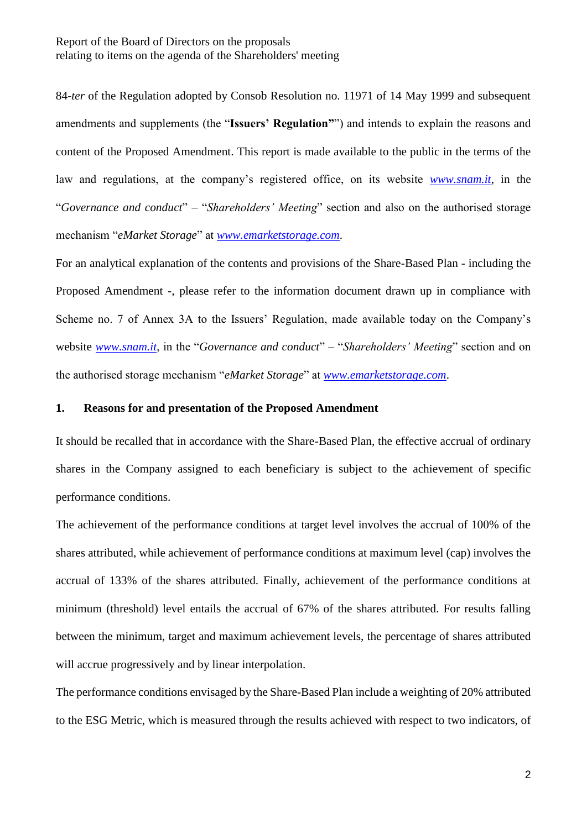84-*ter* of the Regulation adopted by Consob Resolution no. 11971 of 14 May 1999 and subsequent amendments and supplements (the "**Issuers' Regulation"**") and intends to explain the reasons and content of the Proposed Amendment. This report is made available to the public in the terms of the law and regulations, at the company's registered office, on its website *[www.snam.it](http://www.snam.it/)*, in the "*Governance and conduct*" – "*Shareholders' Meeting*" section and also on the authorised storage mechanism "*eMarket Storage*" at *[www.emarketstorage.com](http://www.emarketstorage.com/)*.

For an analytical explanation of the contents and provisions of the Share-Based Plan - including the Proposed Amendment -, please refer to the information document drawn up in compliance with Scheme no. 7 of Annex 3A to the Issuers' Regulation, made available today on the Company's website *[www.snam.it](http://www.snam.it/)*, in the "*Governance and conduct*" – "*Shareholders' Meeting*" section and on the authorised storage mechanism "*eMarket Storage*" at *[www.emarketstorage.com](http://www.emarketstorage.com/)*.

## **1. Reasons for and presentation of the Proposed Amendment**

It should be recalled that in accordance with the Share-Based Plan, the effective accrual of ordinary shares in the Company assigned to each beneficiary is subject to the achievement of specific performance conditions.

The achievement of the performance conditions at target level involves the accrual of 100% of the shares attributed, while achievement of performance conditions at maximum level (cap) involves the accrual of 133% of the shares attributed. Finally, achievement of the performance conditions at minimum (threshold) level entails the accrual of 67% of the shares attributed. For results falling between the minimum, target and maximum achievement levels, the percentage of shares attributed will accrue progressively and by linear interpolation.

The performance conditions envisaged by the Share-Based Plan include a weighting of 20% attributed to the ESG Metric, which is measured through the results achieved with respect to two indicators, of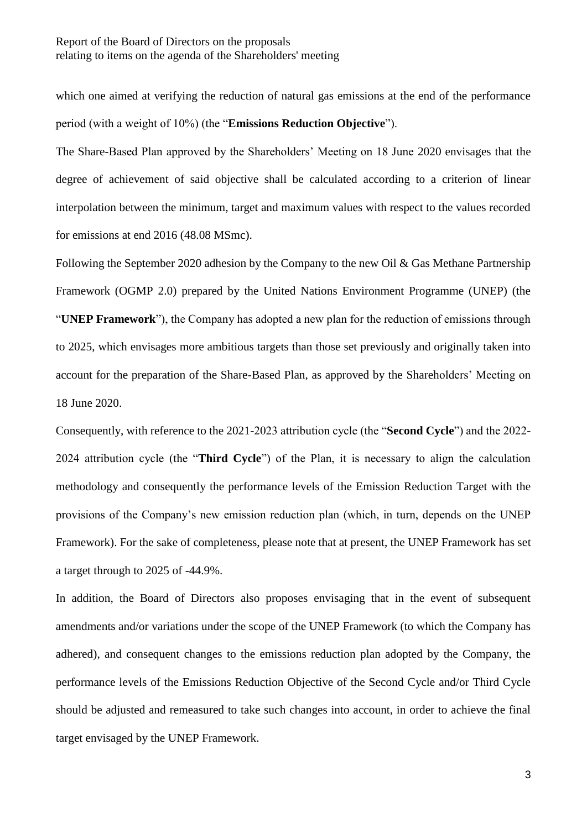which one aimed at verifying the reduction of natural gas emissions at the end of the performance period (with a weight of 10%) (the "**Emissions Reduction Objective**").

The Share-Based Plan approved by the Shareholders' Meeting on 18 June 2020 envisages that the degree of achievement of said objective shall be calculated according to a criterion of linear interpolation between the minimum, target and maximum values with respect to the values recorded for emissions at end 2016 (48.08 MSmc).

Following the September 2020 adhesion by the Company to the new Oil & Gas Methane Partnership Framework (OGMP 2.0) prepared by the United Nations Environment Programme (UNEP) (the "**UNEP Framework**"), the Company has adopted a new plan for the reduction of emissions through to 2025, which envisages more ambitious targets than those set previously and originally taken into account for the preparation of the Share-Based Plan, as approved by the Shareholders' Meeting on 18 June 2020.

Consequently, with reference to the 2021-2023 attribution cycle (the "**Second Cycle**") and the 2022- 2024 attribution cycle (the "**Third Cycle**") of the Plan, it is necessary to align the calculation methodology and consequently the performance levels of the Emission Reduction Target with the provisions of the Company's new emission reduction plan (which, in turn, depends on the UNEP Framework). For the sake of completeness, please note that at present, the UNEP Framework has set a target through to 2025 of -44.9%.

In addition, the Board of Directors also proposes envisaging that in the event of subsequent amendments and/or variations under the scope of the UNEP Framework (to which the Company has adhered), and consequent changes to the emissions reduction plan adopted by the Company, the performance levels of the Emissions Reduction Objective of the Second Cycle and/or Third Cycle should be adjusted and remeasured to take such changes into account, in order to achieve the final target envisaged by the UNEP Framework.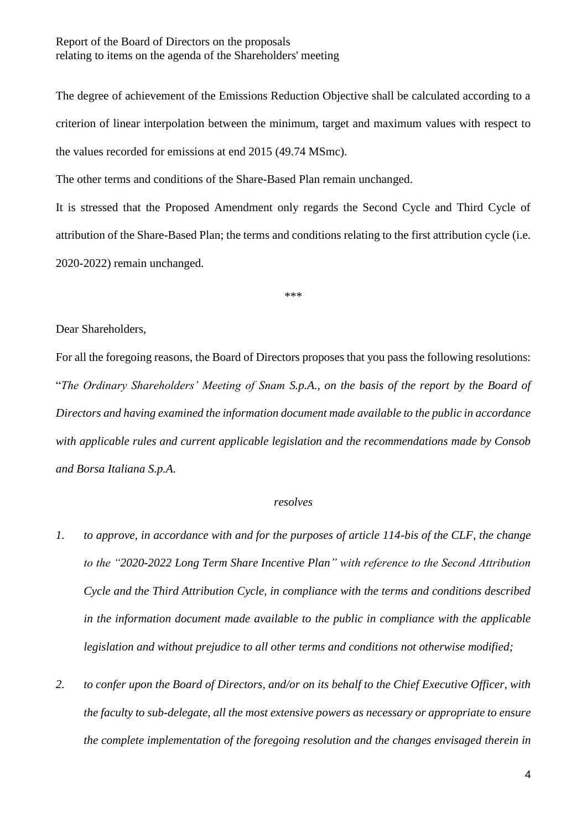## Report of the Board of Directors on the proposals relating to items on the agenda of the Shareholders' meeting

The degree of achievement of the Emissions Reduction Objective shall be calculated according to a criterion of linear interpolation between the minimum, target and maximum values with respect to the values recorded for emissions at end 2015 (49.74 MSmc).

The other terms and conditions of the Share-Based Plan remain unchanged.

It is stressed that the Proposed Amendment only regards the Second Cycle and Third Cycle of attribution of the Share-Based Plan; the terms and conditions relating to the first attribution cycle (i.e. 2020-2022) remain unchanged.

\*\*\*

## Dear Shareholders,

For all the foregoing reasons, the Board of Directors proposes that you pass the following resolutions: "*The Ordinary Shareholders' Meeting of Snam S.p.A., on the basis of the report by the Board of Directors and having examined the information document made available to the public in accordance with applicable rules and current applicable legislation and the recommendations made by Consob and Borsa Italiana S.p.A.*

### *resolves*

- *1. to approve, in accordance with and for the purposes of article 114-bis of the CLF, the change to the "2020-2022 Long Term Share Incentive Plan" with reference to the Second Attribution Cycle and the Third Attribution Cycle, in compliance with the terms and conditions described in the information document made available to the public in compliance with the applicable legislation and without prejudice to all other terms and conditions not otherwise modified;*
- *2. to confer upon the Board of Directors, and/or on its behalf to the Chief Executive Officer, with the faculty to sub-delegate, all the most extensive powers as necessary or appropriate to ensure the complete implementation of the foregoing resolution and the changes envisaged therein in*